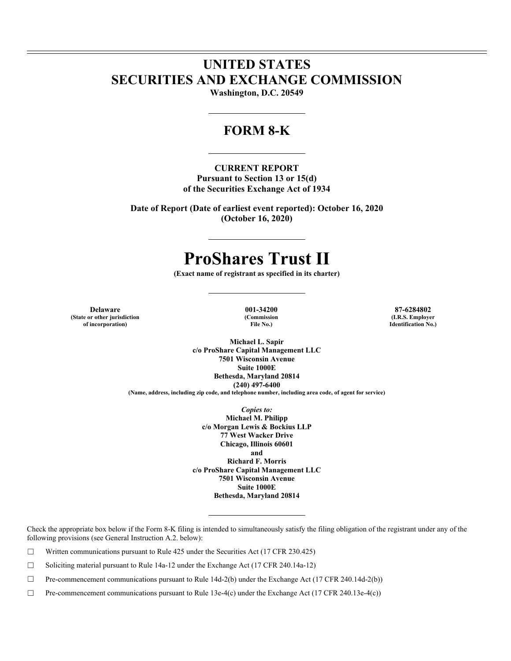## **UNITED STATES SECURITIES AND EXCHANGE COMMISSION**

**Washington, D.C. 20549** 

### **FORM 8-K**

### **CURRENT REPORT**

**Pursuant to Section 13 or 15(d) of the Securities Exchange Act of 1934** 

**Date of Report (Date of earliest event reported): October 16, 2020 (October 16, 2020)** 

# **ProShares Trust II**

**(Exact name of registrant as specified in its charter)** 

**Delaware 001-34200 87-6284802 (State or other jurisdiction of incorporation)**

**(Commission File No.)**

**(I.R.S. Employer Identification No.)**

**Michael L. Sapir c/o ProShare Capital Management LLC 7501 Wisconsin Avenue Suite 1000E Bethesda, Maryland 20814 (240) 497-6400 (Name, address, including zip code, and telephone number, including area code, of agent for service)** 

> *Copies to:*  **Michael M. Philipp c/o Morgan Lewis & Bockius LLP 77 West Wacker Drive Chicago, Illinois 60601 and Richard F. Morris c/o ProShare Capital Management LLC 7501 Wisconsin Avenue Suite 1000E Bethesda, Maryland 20814**

Check the appropriate box below if the Form 8-K filing is intended to simultaneously satisfy the filing obligation of the registrant under any of the following provisions (see General Instruction A.2. below):

 $\Box$  Written communications pursuant to Rule 425 under the Securities Act (17 CFR 230.425)

 $\Box$  Soliciting material pursuant to Rule 14a-12 under the Exchange Act (17 CFR 240.14a-12)

☐ Pre-commencement communications pursuant to Rule 14d-2(b) under the Exchange Act (17 CFR 240.14d-2(b))

☐ Pre-commencement communications pursuant to Rule 13e-4(c) under the Exchange Act (17 CFR 240.13e-4(c))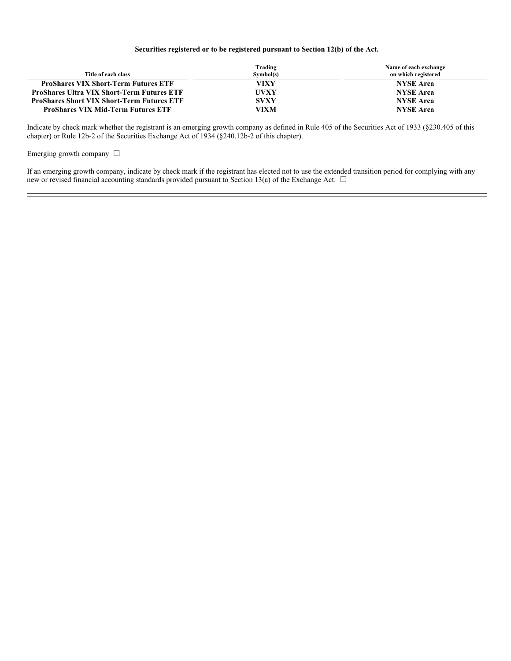### **Securities registered or to be registered pursuant to Section 12(b) of the Act.**

| Title of each class                               | Trading<br>Symbol(s) | Name of each exchange<br>on which registered |
|---------------------------------------------------|----------------------|----------------------------------------------|
| <b>ProShares VIX Short-Term Futures ETF</b>       | VIXY                 | <b>NYSE</b> Arca                             |
| <b>ProShares Ultra VIX Short-Term Futures ETF</b> | <b>UVXY</b>          | <b>NYSE</b> Arca                             |
| <b>ProShares Short VIX Short-Term Futures ETF</b> | <b>SVXY</b>          | <b>NYSE</b> Arca                             |
| <b>ProShares VIX Mid-Term Futures ETF</b>         | VIXM                 | <b>NYSE Arca</b>                             |

Indicate by check mark whether the registrant is an emerging growth company as defined in Rule 405 of the Securities Act of 1933 (§230.405 of this chapter) or Rule 12b-2 of the Securities Exchange Act of 1934 (§240.12b-2 of this chapter).

Emerging growth company  $\Box$ 

If an emerging growth company, indicate by check mark if the registrant has elected not to use the extended transition period for complying with any new or revised financial accounting standards provided pursuant to Section 13(a) of the Exchange Act.  $\Box$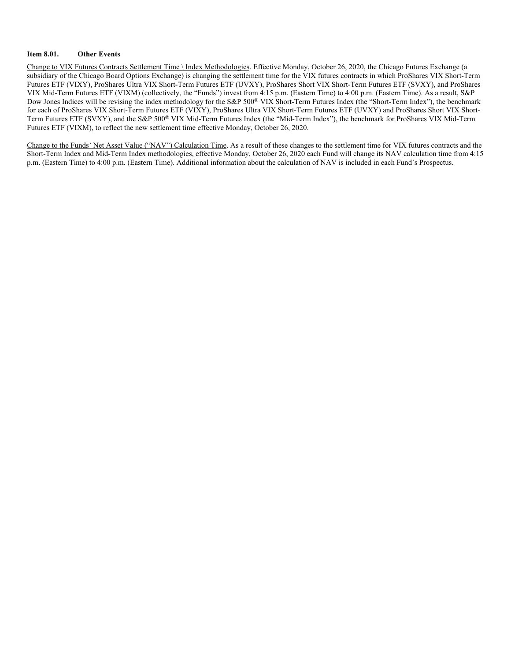#### **Item 8.01. Other Events**

Change to VIX Futures Contracts Settlement Time \ Index Methodologies. Effective Monday, October 26, 2020, the Chicago Futures Exchange (a subsidiary of the Chicago Board Options Exchange) is changing the settlement time for the VIX futures contracts in which ProShares VIX Short-Term Futures ETF (VIXY), ProShares Ultra VIX Short-Term Futures ETF (UVXY), ProShares Short VIX Short-Term Futures ETF (SVXY), and ProShares VIX Mid-Term Futures ETF (VIXM) (collectively, the "Funds") invest from 4:15 p.m. (Eastern Time) to 4:00 p.m. (Eastern Time). As a result, S&P Dow Jones Indices will be revising the index methodology for the S&P 500® VIX Short-Term Futures Index (the "Short-Term Index"), the benchmark for each of ProShares VIX Short-Term Futures ETF (VIXY), ProShares Ultra VIX Short-Term Futures ETF (UVXY) and ProShares Short VIX Short-Term Futures ETF (SVXY), and the S&P 500® VIX Mid-Term Futures Index (the "Mid-Term Index"), the benchmark for ProShares VIX Mid-Term Futures ETF (VIXM), to reflect the new settlement time effective Monday, October 26, 2020.

Change to the Funds' Net Asset Value ("NAV") Calculation Time. As a result of these changes to the settlement time for VIX futures contracts and the Short-Term Index and Mid-Term Index methodologies, effective Monday, October 26, 2020 each Fund will change its NAV calculation time from 4:15 p.m. (Eastern Time) to 4:00 p.m. (Eastern Time). Additional information about the calculation of NAV is included in each Fund's Prospectus.